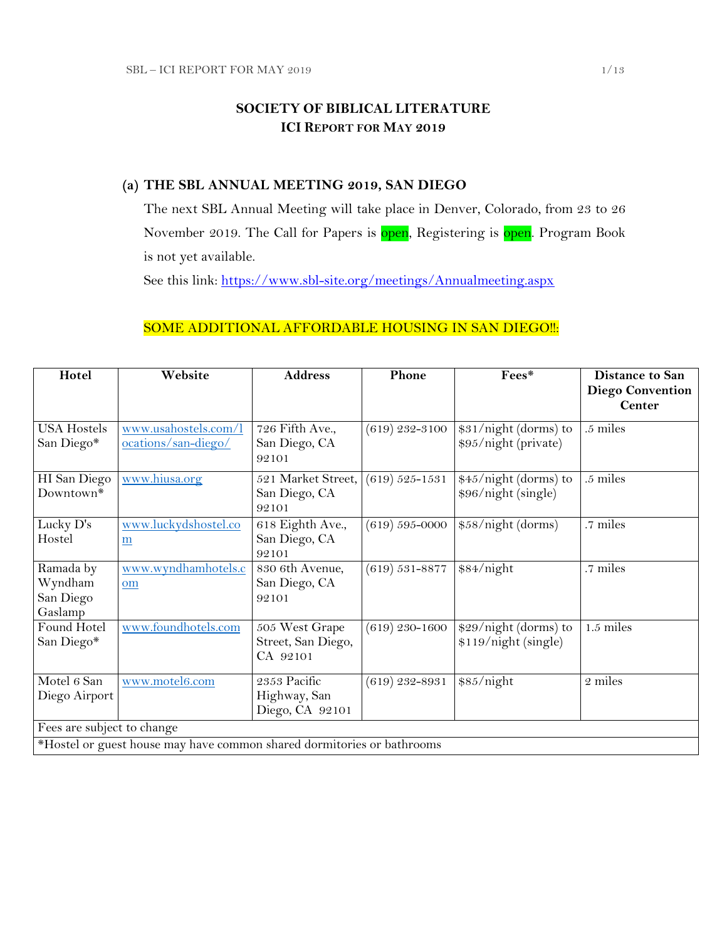## **SOCIETY OF BIBLICAL LITERATURE ICI REPORT FOR MAY 2019**

### **(a) THE SBL ANNUAL MEETING 2019, SAN DIEGO**

The next SBL Annual Meeting will take place in Denver, Colorado, from 23 to 26 November 2019. The Call for Papers is open, Registering is open. Program Book is not yet available.

See this link:<https://www.sbl-site.org/meetings/Annualmeeting.aspx>

### SOME ADDITIONAL AFFORDABLE HOUSING IN SAN DIEGO !!:

| Hotel                                                                  | Website                                     | <b>Address</b>                                   | Phone              | Fees*                                         | <b>Distance to San</b><br><b>Diego Convention</b> |
|------------------------------------------------------------------------|---------------------------------------------|--------------------------------------------------|--------------------|-----------------------------------------------|---------------------------------------------------|
|                                                                        |                                             |                                                  |                    |                                               | <b>Center</b>                                     |
| <b>USA Hostels</b><br>San Diego*                                       | www.usahostels.com/l<br>ocations/san-diego/ | 726 Fifth Ave.,<br>San Diego, CA<br>92101        | $(619)$ 232-3100   | \$31/night (dorms) to<br>\$95/night (private) | .5 miles                                          |
| HI San Diego<br>Downtown*                                              | www.hiusa.org                               | 521 Market Street,<br>San Diego, CA<br>92101     | $(619) 525 - 1531$ | \$45/night (dorms) to<br>\$96/night (single)  | .5 miles                                          |
| Lucky D's<br>Hostel                                                    | www.luckydshostel.co<br>m                   | 618 Eighth Ave.,<br>San Diego, CA<br>92101       | $(619) 595 - 0000$ | \$58/night (dorms)                            | .7 miles                                          |
| Ramada by<br>Wyndham<br>San Diego<br>Gaslamp                           | www.wyndhamhotels.c<br>om                   | 830 6th Avenue,<br>San Diego, CA<br>92101        | $(619) 531 - 8877$ | \$84/night                                    | .7 miles                                          |
| Found Hotel<br>San Diego*                                              | www.foundhotels.com                         | 505 West Grape<br>Street, San Diego,<br>CA 92101 | $(619)$ 230-1600   | \$29/night (dorms) to<br>\$119/night (single) | 1.5 miles                                         |
| Motel 6 San<br>Diego Airport                                           | www.motel6.com                              | 2353 Pacific<br>Highway, San<br>Diego, CA 92101  | $(619)$ 232-8931   | \$85/night                                    | 2 miles                                           |
| Fees are subject to change                                             |                                             |                                                  |                    |                                               |                                                   |
| *Hostel or guest house may have common shared dormitories or bathrooms |                                             |                                                  |                    |                                               |                                                   |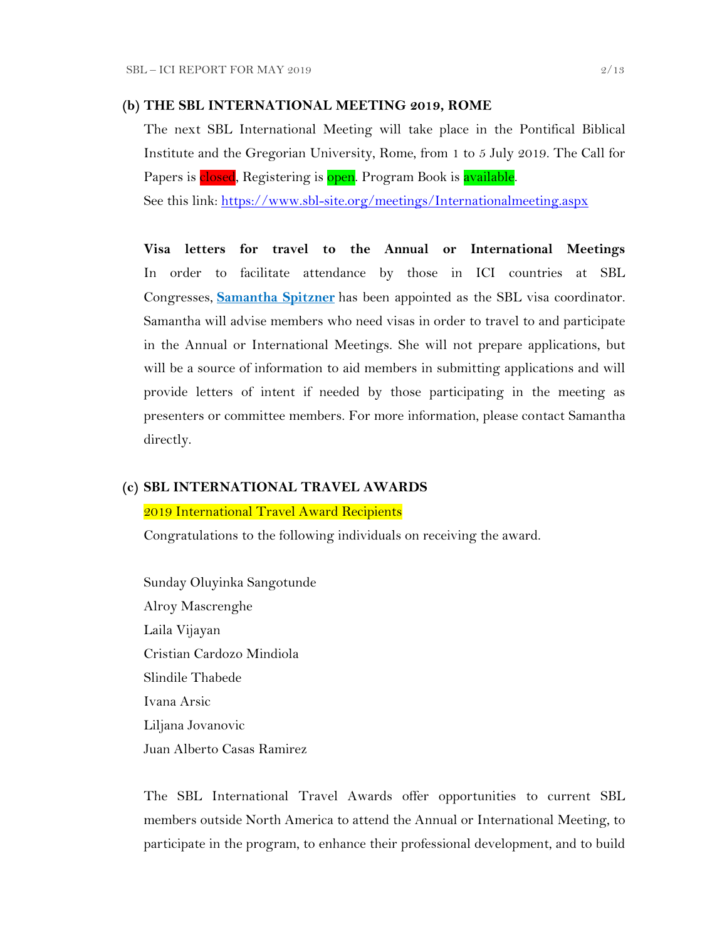#### **(b) THE SBL INTERNATIONAL MEETING 2019, ROME**

The next SBL International Meeting will take place in the Pontifical Biblical Institute and the Gregorian University, Rome, from 1 to 5 July 2019. The Call for Papers is closed, Registering is open. Program Book is available.

See this link:<https://www.sbl-site.org/meetings/Internationalmeeting.aspx>

**Visa letters for travel to the Annual or International Meetings** In order to facilitate attendance by those in ICI countries at SBL Congresses, **[Samantha Spitzner](mailto:samantha.spitzner@sbl-site.org)** has been appointed as the SBL visa coordinator. Samantha will advise members who need visas in order to travel to and participate in the Annual or International Meetings. She will not prepare applications, but will be a source of information to aid members in submitting applications and will provide letters of intent if needed by those participating in the meeting as presenters or committee members. For more information, please contact Samantha directly.

#### **(c) SBL INTERNATIONAL TRAVEL AWARDS**

#### 2019 International Travel Award Recipients

Congratulations to the following individuals on receiving the award.

Sunday Oluyinka Sangotunde Alroy Mascrenghe Laila Vijayan Cristian Cardozo Mindiola Slindile Thabede Ivana Arsic Liljana Jovanovic Juan Alberto Casas Ramirez

The SBL International Travel Awards offer opportunities to current SBL members outside North America to attend the Annual or International Meeting, to participate in the program, to enhance their professional development, and to build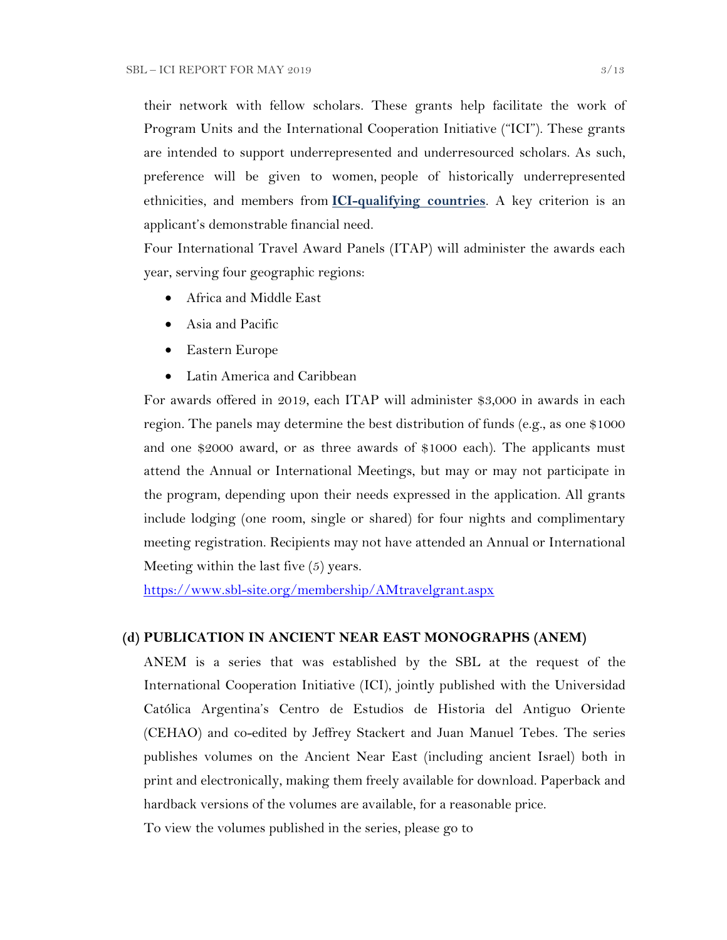their network with fellow scholars. These grants help facilitate the work of Program Units and the International Cooperation Initiative ("ICI"). These grants are intended to support underrepresented and underresourced scholars. As such, preference will be given to women, people of historically underrepresented ethnicities, and members from **[ICI-qualifying countries](https://www.sbl-site.org/assets/pdfs/ICIcountries.pdf)**. A key criterion is an applicant's demonstrable financial need.

Four International Travel Award Panels (ITAP) will administer the awards each year, serving four geographic regions:

- Africa and Middle East
- Asia and Pacific
- Eastern Europe
- Latin America and Caribbean

For awards offered in 2019, each ITAP will administer \$3,000 in awards in each region. The panels may determine the best distribution of funds (e.g., as one \$1000 and one \$2000 award, or as three awards of \$1000 each). The applicants must attend the Annual or International Meetings, but may or may not participate in the program, depending upon their needs expressed in the application. All grants include lodging (one room, single or shared) for four nights and complimentary meeting registration. Recipients may not have attended an Annual or International Meeting within the last five (5) years.

<https://www.sbl-site.org/membership/AMtravelgrant.aspx>

#### **(d) PUBLICATION IN [ANCIENT NEAR EAST MONOGRAPHS](http://www.sbl-site.org/publications/Books_ANEmonographs.aspx) (ANEM)**

ANEM is a series that was established by the SBL at the request of the International Cooperation Initiative (ICI), jointly published with the Universidad Católica Argentina's Centro de Estudios de Historia del Antiguo Oriente (CEHAO) and co-edited by Jeffrey Stackert and Juan Manuel Tebes. The series publishes volumes on the Ancient Near East (including ancient Israel) both in print and electronically, making them freely available for download. Paperback and hardback versions of the volumes are available, for a reasonable price.

To view the volumes published in the series, please go to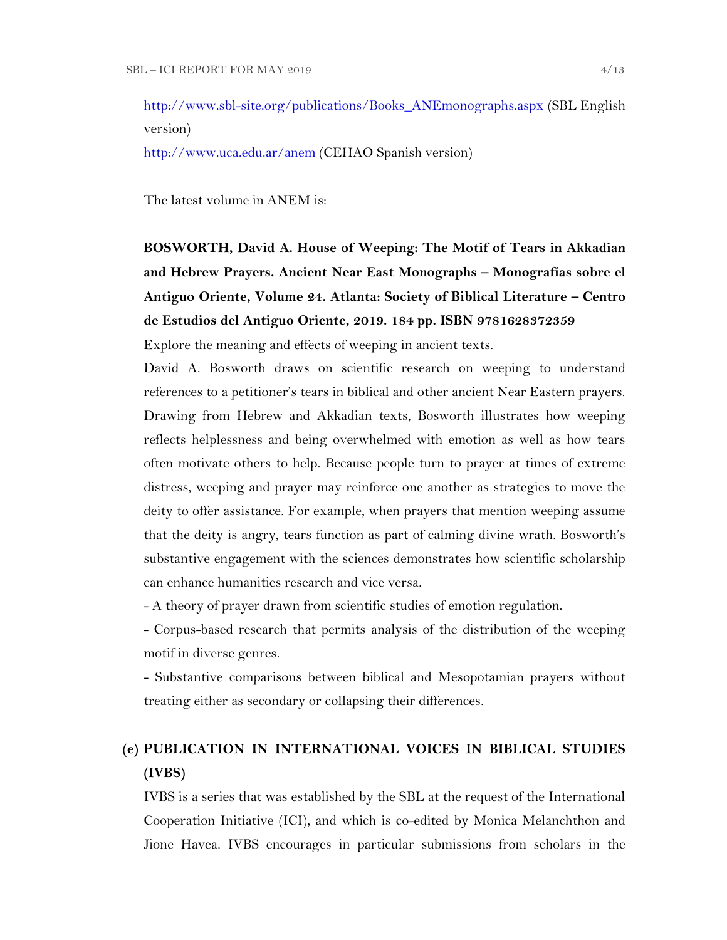[http://www.sbl-site.org/publications/Books\\_ANEmonographs.aspx](http://www.sbl-site.org/publications/Books_ANEmonographs.aspx) (SBL English version)

<http://www.uca.edu.ar/anem> (CEHAO Spanish version)

The latest volume in ANEM is:

# **BOSWORTH, David A. House of Weeping: The Motif of Tears in Akkadian and Hebrew Prayers. Ancient Near East Monographs – Monografías sobre el Antiguo Oriente, Volume 24. Atlanta: Society of Biblical Literature – Centro de Estudios del Antiguo Oriente, 2019. 184 pp. ISBN 9781628372359**

Explore the meaning and effects of weeping in ancient texts.

David A. Bosworth draws on scientific research on weeping to understand references to a petitioner's tears in biblical and other ancient Near Eastern prayers. Drawing from Hebrew and Akkadian texts, Bosworth illustrates how weeping reflects helplessness and being overwhelmed with emotion as well as how tears often motivate others to help. Because people turn to prayer at times of extreme distress, weeping and prayer may reinforce one another as strategies to move the deity to offer assistance. For example, when prayers that mention weeping assume that the deity is angry, tears function as part of calming divine wrath. Bosworth's substantive engagement with the sciences demonstrates how scientific scholarship can enhance humanities research and vice versa.

- A theory of prayer drawn from scientific studies of emotion regulation.

- Corpus-based research that permits analysis of the distribution of the weeping motif in diverse genres.

- Substantive comparisons between biblical and Mesopotamian prayers without treating either as secondary or collapsing their differences.

## **(e) PUBLICATION IN INTERNATIONAL VOICES IN BIBLICAL STUDIES (IVBS)**

IVBS is a series that was established by the SBL at the request of the International Cooperation Initiative (ICI), and which is co-edited by Monica Melanchthon and Jione Havea. IVBS encourages in particular submissions from scholars in the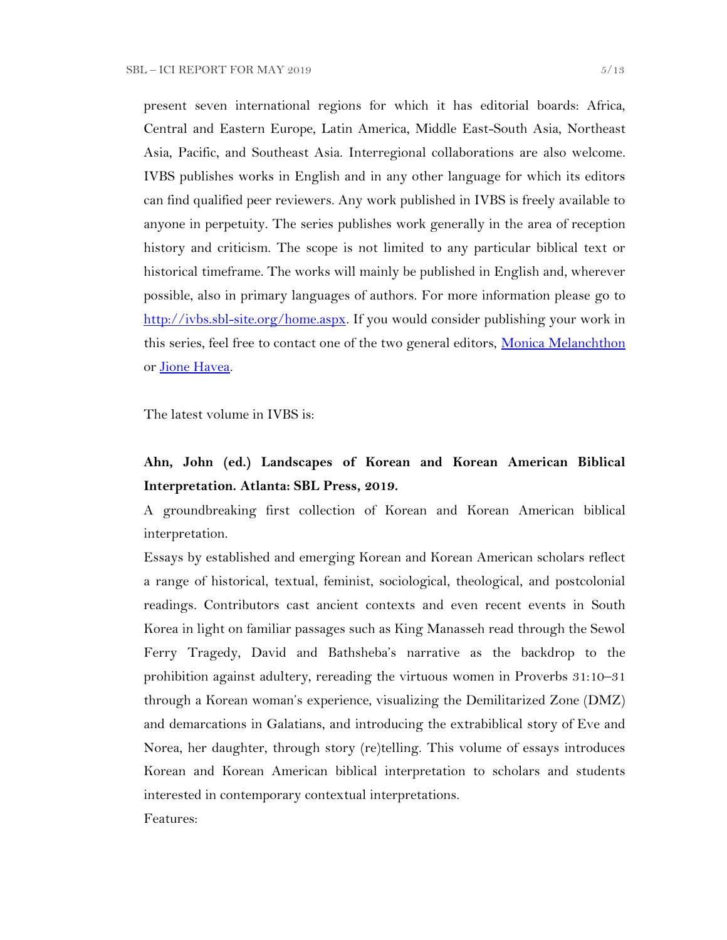present seven international regions for which it has editorial boards: Africa, Central and Eastern Europe, Latin America, Middle East-South Asia, Northeast Asia, Pacific, and Southeast Asia. Interregional collaborations are also welcome. IVBS publishes works in English and in any other language for which its editors can find qualified peer reviewers. Any work published in IVBS is freely available to anyone in perpetuity. The series publishes work generally in the area of reception history and criticism. The scope is not limited to any particular biblical text or historical timeframe. The works will mainly be published in English and, wherever possible, also in primary languages of authors. For more information please go to [http://ivbs.sbl-site.org/home.aspx.](http://ivbs.sbl-site.org/home.aspx) If you would consider publishing your work in this series, feel free to contact one of the two general editors, [Monica Melanchthon](mailto:ivbs2010@gmail.com) or [Jione Havea.](mailto:jioneh@nsw.uca.org.au)

The latest volume in IVBS is:

## **Ahn, John (ed.) Landscapes of Korean and Korean American Biblical Interpretation. Atlanta: SBL Press, 2019.**

A groundbreaking first collection of Korean and Korean American biblical interpretation.

Essays by established and emerging Korean and Korean American scholars reflect a range of historical, textual, feminist, sociological, theological, and postcolonial readings. Contributors cast ancient contexts and even recent events in South Korea in light on familiar passages such as King Manasseh read through the Sewol Ferry Tragedy, David and Bathsheba's narrative as the backdrop to the prohibition against adultery, rereading the virtuous women in Proverbs 31:10–31 through a Korean woman's experience, visualizing the Demilitarized Zone (DMZ) and demarcations in Galatians, and introducing the extrabiblical story of Eve and Norea, her daughter, through story (re)telling. This volume of essays introduces Korean and Korean American biblical interpretation to scholars and students interested in contemporary contextual interpretations.

Features: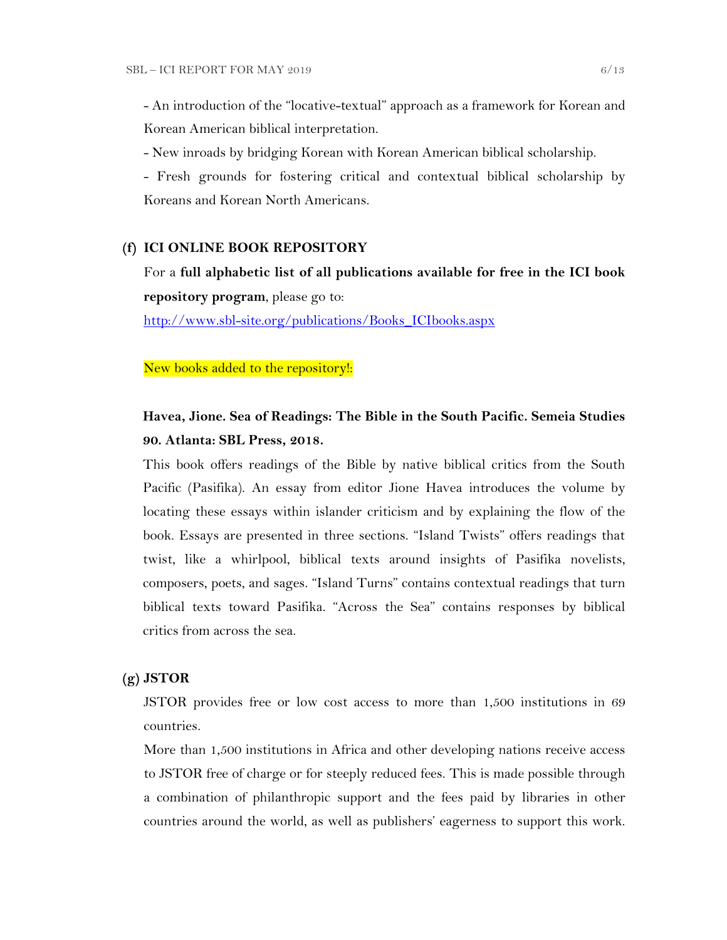- An introduction of the "locative-textual" approach as a framework for Korean and Korean American biblical interpretation.

- New inroads by bridging Korean with Korean American biblical scholarship.

- Fresh grounds for fostering critical and contextual biblical scholarship by Koreans and Korean North Americans.

#### **(f) ICI ONLINE BOOK REPOSITORY**

For a **full alphabetic list of all publications available for free in the ICI book repository program**, please go to:

[http://www.sbl-site.org/publications/Books\\_ICIbooks.aspx](http://www.sbl-site.org/publications/Books_ICIbooks.aspx)

New books added to the repository!:

## **Havea, Jione. Sea of Readings: The Bible in the South Pacific. Semeia Studies 90. Atlanta: SBL Press, 2018.**

This book offers readings of the Bible by native biblical critics from the South Pacific (Pasifika). An essay from editor Jione Havea introduces the volume by locating these essays within islander criticism and by explaining the flow of the book. Essays are presented in three sections. "Island Twists" offers readings that twist, like a whirlpool, biblical texts around insights of Pasifika novelists, composers, poets, and sages. "Island Turns" contains contextual readings that turn biblical texts toward Pasifika. "Across the Sea" contains responses by biblical critics from across the sea.

#### **(g) JSTOR**

JSTOR provides free or low cost access to more than 1,500 institutions in 69 countries.

More than 1,500 institutions in Africa and other developing nations receive access to JSTOR free of charge or for steeply reduced fees. This is made possible through a combination of philanthropic support and the fees paid by libraries in other countries around the world, as well as publishers' eagerness to support this work.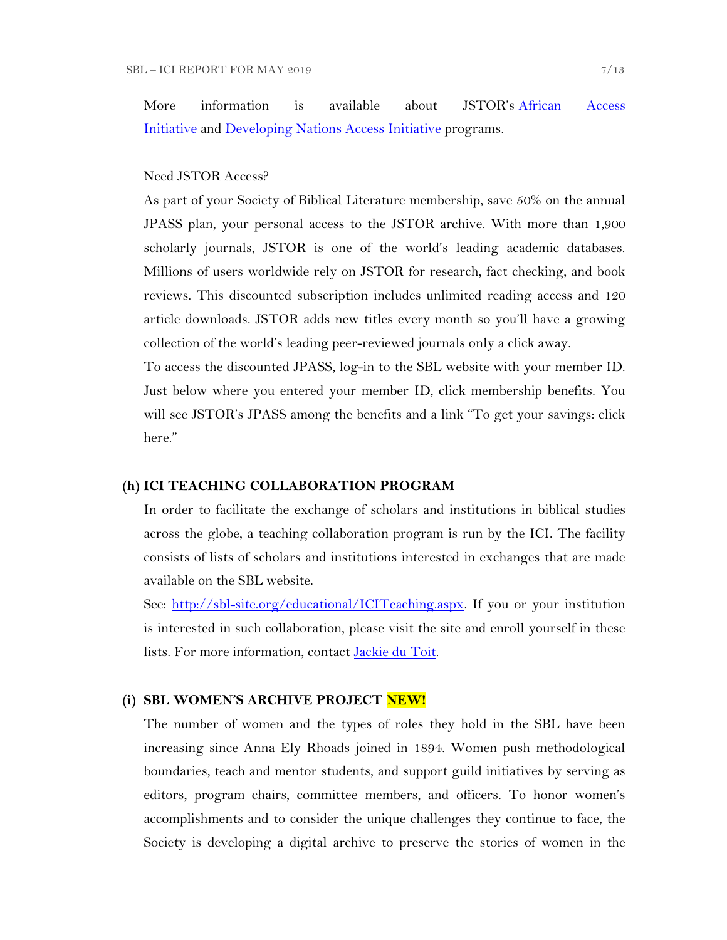More information is available about JSTOR's [African Access](http://about.jstor.org/libraries/african-access-initiative)  [Initiative](http://about.jstor.org/libraries/african-access-initiative) and [Developing Nations Access Initiative](http://about.jstor.org/libraries/developing-nations-access-initiative) programs.

#### Need JSTOR Access?

As part of your Society of Biblical Literature membership, save 50% on the annual JPASS plan, your personal access to the JSTOR archive. With more than 1,900 scholarly journals, JSTOR is one of the world's leading academic databases. Millions of users worldwide rely on JSTOR for research, fact checking, and book reviews. This discounted subscription includes unlimited reading access and 120 article downloads. JSTOR adds new titles every month so you'll have a growing collection of the world's leading peer-reviewed journals only a click away.

To access the discounted JPASS, log-in to the SBL website with your member ID. Just below where you entered your member ID, click membership benefits. You will see JSTOR's JPASS among the benefits and a link "To get your savings: click here."

#### **(h) ICI TEACHING COLLABORATION PROGRAM**

In order to facilitate the exchange of scholars and institutions in biblical studies across the globe, a teaching collaboration program is run by the ICI. The facility consists of lists of scholars and institutions interested in exchanges that are made available on the SBL website.

See: [http://sbl-site.org/educational/ICITeaching.aspx.](http://sbl-site.org/educational/ICITeaching.aspx) If you or your institution is interested in such collaboration, please visit the site and enroll yourself in these lists. For more information, contact [Jackie du Toit.](mailto:dutoitjs@ufs.ac.za)

#### **(i) SBL WOMEN'S ARCHIVE PROJECT NEW!**

The number of women and the types of roles they hold in the SBL have been increasing since Anna Ely Rhoads joined in 1894. Women push methodological boundaries, teach and mentor students, and support guild initiatives by serving as editors, program chairs, committee members, and officers. To honor women's accomplishments and to consider the unique challenges they continue to face, the Society is developing a digital archive to preserve the stories of women in the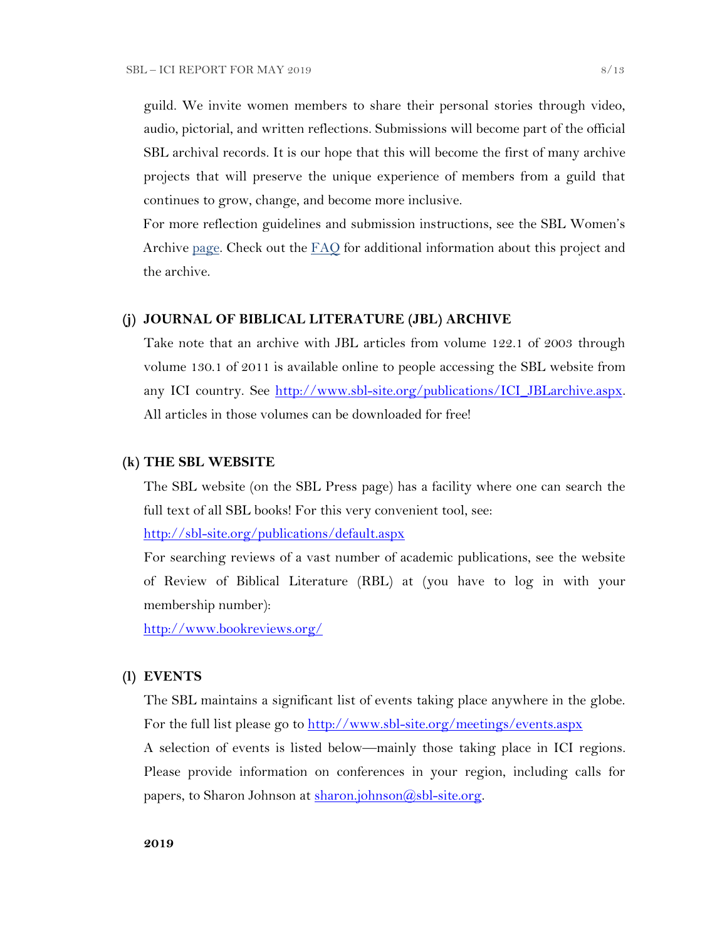guild. We invite women members to share their personal stories through video, audio, pictorial, and written reflections. Submissions will become part of the official SBL archival records. It is our hope that this will become the first of many archive projects that will preserve the unique experience of members from a guild that continues to grow, change, and become more inclusive.

For more reflection guidelines and submission instructions, see the SBL Women's Archive [page.](https://nam04.safelinks.protection.outlook.com/?url=http%3A%2F%2Fr20.rs6.net%2Ftn.jsp%3Ff%3D001UxB5SQIuVUKz9COuM3IsPWnWKqoK39z2VG4xqTm8KZlA_ZE17Z7Fa2PmCgTjMMxZJIpcAIjlvUF-irxd2rwYbEMLTrV0K_WM51IpZKkkhMDgd8_9aVPRw3rlId_KW8E944PO6OC3qczzRWSY7H-TuxvuErx13KKirGuJ38oWvop66nka2FiuLpzq0iT-us5e%26c%3DQ2tCZ6oCYeHLWgeasA7YFffpqmCkeEopn2jFFHww1HRSHdGZkow9Cg%3D%3D%26ch%3Dndma_uDxhxPhjRABmkw-gBQiRkfwAotBZK8Ps3z0wu4oDwHg9u9sLg%3D%3D&data=02%7C01%7CWALFORD_ND%40mercer.edu%7Cf513cd74ff8548bede3608d6b5da7f75%7C4fb34d2889b247109bcc30824d17fc30%7C0%7C0%7C636896347381808305&sdata=tiSsidRd6oL6K11UbD%2BSSPY7fRIjvdDnpsEU3BWCZRg%3D&reserved=0) Check out the  $FAO$  for additional information about this project and the archive.

#### **(j) JOURNAL OF BIBLICAL LITERATURE (JBL) ARCHIVE**

Take note that an archive with JBL articles from volume 122.1 of 2003 through volume 130.1 of 2011 is available online to people accessing the SBL website from any ICI country. See [http://www.sbl-site.org/publications/ICI\\_JBLarchive.aspx.](http://www.sbl-site.org/publications/ICI_JBLarchive.aspx) All articles in those volumes can be downloaded for free!

#### **(k) THE SBL WEBSITE**

The SBL website (on the SBL Press page) has a facility where one can search the full text of all SBL books! For this very convenient tool, see:

<http://sbl-site.org/publications/default.aspx>

For searching reviews of a vast number of academic publications, see the website of Review of Biblical Literature (RBL) at (you have to log in with your membership number):

<http://www.bookreviews.org/>

#### **(l) EVENTS**

The SBL maintains a significant list of events taking place anywhere in the globe. For the full list please go to<http://www.sbl-site.org/meetings/events.aspx> A selection of events is listed below—mainly those taking place in ICI regions. Please provide information on conferences in your region, including calls for

papers, to Sharon Johnson at  $\frac{\text{sharon.}(\partial s\text{bl-site.} \text{org.}}{\text{abs.}(\partial s\text{bl-site.} \text{org.}})$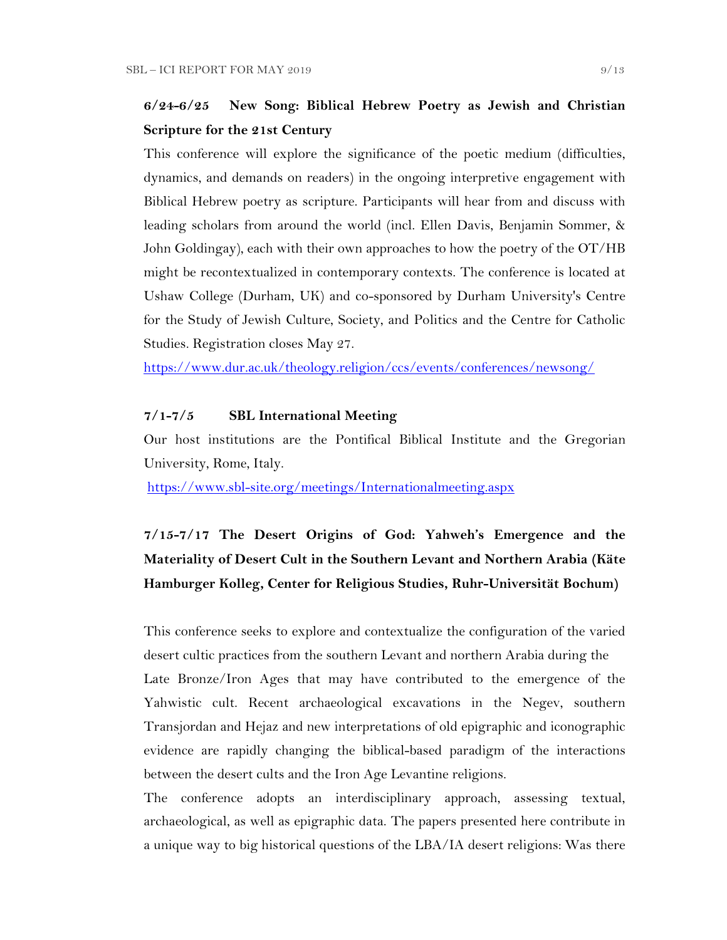## **6/24-6/25 New Song: Biblical Hebrew Poetry as Jewish and Christian Scripture for the 21st Century**

This conference will explore the significance of the poetic medium (difficulties, dynamics, and demands on readers) in the ongoing interpretive engagement with Biblical Hebrew poetry as scripture. Participants will hear from and discuss with leading scholars from around the world (incl. Ellen Davis, Benjamin Sommer, & John Goldingay), each with their own approaches to how the poetry of the OT/HB might be recontextualized in contemporary contexts. The conference is located at Ushaw College (Durham, UK) and co-sponsored by Durham University's Centre for the Study of Jewish Culture, Society, and Politics and the Centre for Catholic Studies. Registration closes May 27.

<https://www.dur.ac.uk/theology.religion/ccs/events/conferences/newsong/>

#### **7/1-7/5 SBL International Meeting**

Our host institutions are the Pontifical Biblical Institute and the Gregorian University, Rome, Italy.

<https://www.sbl-site.org/meetings/Internationalmeeting.aspx>

## **7/15-7/17 The Desert Origins of God: Yahweh's Emergence and the Materiality of Desert Cult in the Southern Levant and Northern Arabia (Käte Hamburger Kolleg, Center for Religious Studies, Ruhr-Universität Bochum)**

This conference seeks to explore and contextualize the configuration of the varied desert cultic practices from the southern Levant and northern Arabia during the Late Bronze/Iron Ages that may have contributed to the emergence of the Yahwistic cult. Recent archaeological excavations in the Negev, southern Transjordan and Hejaz and new interpretations of old epigraphic and iconographic evidence are rapidly changing the biblical-based paradigm of the interactions between the desert cults and the Iron Age Levantine religions.

The conference adopts an interdisciplinary approach, assessing textual, archaeological, as well as epigraphic data. The papers presented here contribute in a unique way to big historical questions of the LBA/IA desert religions: Was there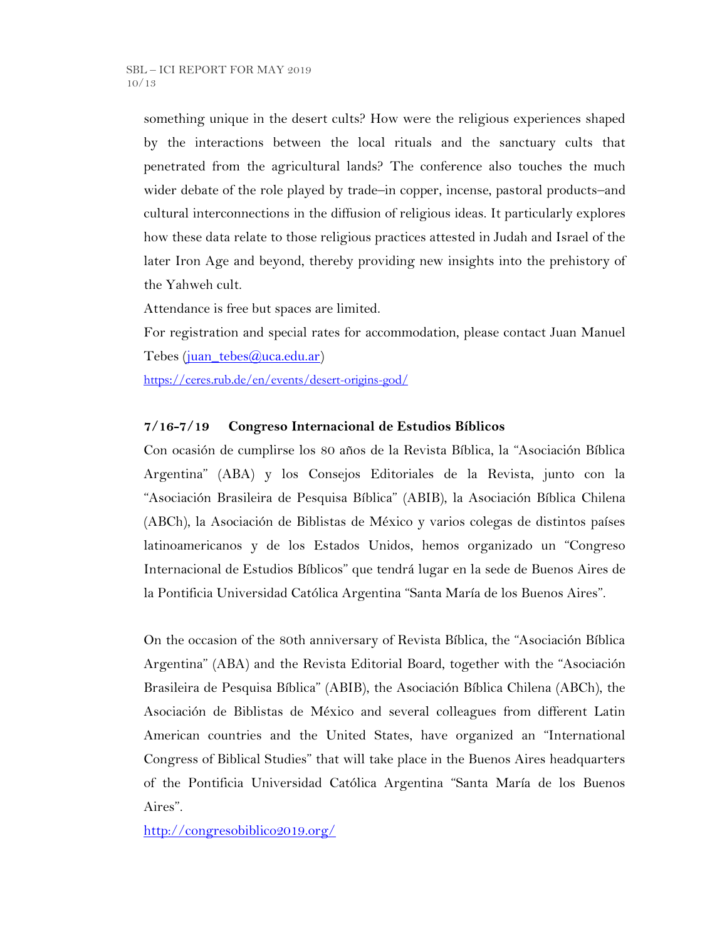something unique in the desert cults? How were the religious experiences shaped by the interactions between the local rituals and the sanctuary cults that penetrated from the agricultural lands? The conference also touches the much wider debate of the role played by trade–in copper, incense, pastoral products–and cultural interconnections in the diffusion of religious ideas. It particularly explores how these data relate to those religious practices attested in Judah and Israel of the later Iron Age and beyond, thereby providing new insights into the prehistory of the Yahweh cult.

Attendance is free but spaces are limited.

For registration and special rates for accommodation, please contact Juan Manuel Tebes [\(juan\\_tebes@uca.edu.ar\)](mailto:juan_tebes@uca.edu.ar)

<https://ceres.rub.de/en/events/desert-origins-god/>

### **7/16-7/19 Congreso Internacional de Estudios Bíblicos**

Con ocasión de cumplirse los 80 años de la Revista Bíblica, la "Asociación Bíblica Argentina" (ABA) y los Consejos Editoriales de la Revista, junto con la "Asociación Brasileira de Pesquisa Bíblica" (ABIB), la Asociación Bíblica Chilena (ABCh), la Asociación de Biblistas de México y varios colegas de distintos países latinoamericanos y de los Estados Unidos, hemos organizado un "Congreso Internacional de Estudios Bíblicos" que tendrá lugar en la sede de Buenos Aires de la Pontificia Universidad Católica Argentina "Santa María de los Buenos Aires".

On the occasion of the 80th anniversary of Revista Bíblica, the "Asociación Bíblica Argentina" (ABA) and the Revista Editorial Board, together with the "Asociación Brasileira de Pesquisa Bíblica" (ABIB), the Asociación Bíblica Chilena (ABCh), the Asociación de Biblistas de México and several colleagues from different Latin American countries and the United States, have organized an "International Congress of Biblical Studies" that will take place in the Buenos Aires headquarters of the Pontificia Universidad Católica Argentina "Santa María de los Buenos Aires".

<http://congresobiblico2019.org/>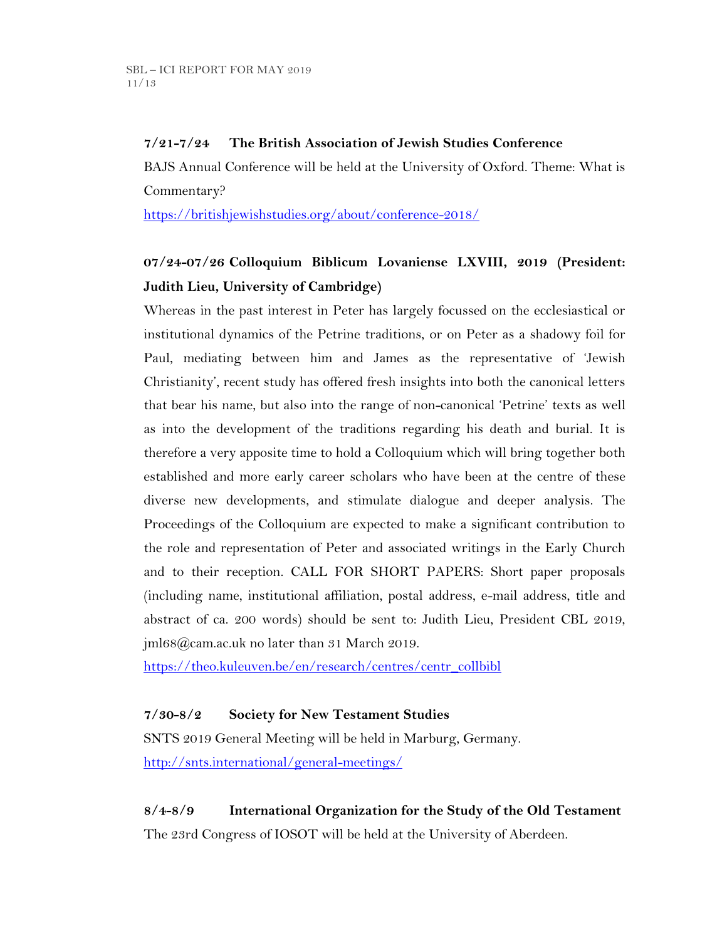### **7/21-7/24 The British Association of Jewish Studies Conference**

BAJS Annual Conference will be held at the University of Oxford. Theme: What is Commentary?

<https://britishjewishstudies.org/about/conference-2018/>

## **07/24-07/26 Colloquium Biblicum Lovaniense LXVIII, 2019 (President: Judith Lieu, University of Cambridge)**

Whereas in the past interest in Peter has largely focussed on the ecclesiastical or institutional dynamics of the Petrine traditions, or on Peter as a shadowy foil for Paul, mediating between him and James as the representative of 'Jewish Christianity', recent study has offered fresh insights into both the canonical letters that bear his name, but also into the range of non-canonical 'Petrine' texts as well as into the development of the traditions regarding his death and burial. It is therefore a very apposite time to hold a Colloquium which will bring together both established and more early career scholars who have been at the centre of these diverse new developments, and stimulate dialogue and deeper analysis. The Proceedings of the Colloquium are expected to make a significant contribution to the role and representation of Peter and associated writings in the Early Church and to their reception. CALL FOR SHORT PAPERS: Short paper proposals (including name, institutional affiliation, postal address, e-mail address, title and abstract of ca. 200 words) should be sent to: Judith Lieu, President CBL 2019, jml68@cam.ac.uk no later than 31 March 2019.

[https://theo.kuleuven.be/en/research/centres/centr\\_collbibl](https://theo.kuleuven.be/en/research/centres/centr_collbibl)

### **7/30-8/2 Society for New Testament Studies**

SNTS 2019 General Meeting will be held in Marburg, Germany. <http://snts.international/general-meetings/>

**8/4-8/9 International Organization for the Study of the Old Testament** The 23rd Congress of IOSOT will be held at the University of Aberdeen.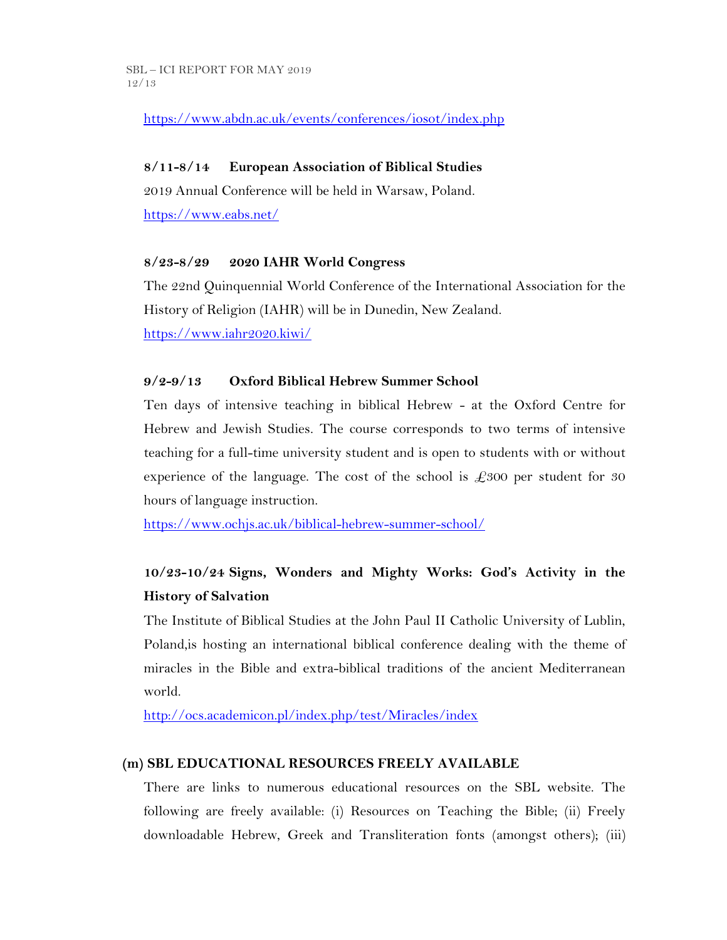<https://www.abdn.ac.uk/events/conferences/iosot/index.php>

## **8/11-8/14 European Association of Biblical Studies**

2019 Annual Conference will be held in Warsaw, Poland. <https://www.eabs.net/>

### **8/23-8/29 2020 IAHR World Congress**

The 22nd Quinquennial World Conference of the International Association for the History of Religion (IAHR) will be in Dunedin, New Zealand. <https://www.iahr2020.kiwi/>

## **9/2-9/13 Oxford Biblical Hebrew Summer School**

Ten days of intensive teaching in biblical Hebrew - at the Oxford Centre for Hebrew and Jewish Studies. The course corresponds to two terms of intensive teaching for a full-time university student and is open to students with or without experience of the language. The cost of the school is  $\pounds 300$  per student for 30 hours of language instruction.

<https://www.ochjs.ac.uk/biblical-hebrew-summer-school/>

## **10/23-10/24 Signs, Wonders and Mighty Works: God's Activity in the History of Salvation**

The Institute of Biblical Studies at the John Paul II Catholic University of Lublin, Poland,is hosting an international biblical conference dealing with the theme of miracles in the Bible and extra-biblical traditions of the ancient Mediterranean world.

<http://ocs.academicon.pl/index.php/test/Miracles/index>

## **(m) SBL EDUCATIONAL RESOURCES FREELY AVAILABLE**

There are links to numerous educational resources on the SBL website. The following are freely available: (i) Resources on Teaching the Bible; (ii) Freely downloadable Hebrew, Greek and Transliteration fonts (amongst others); (iii)